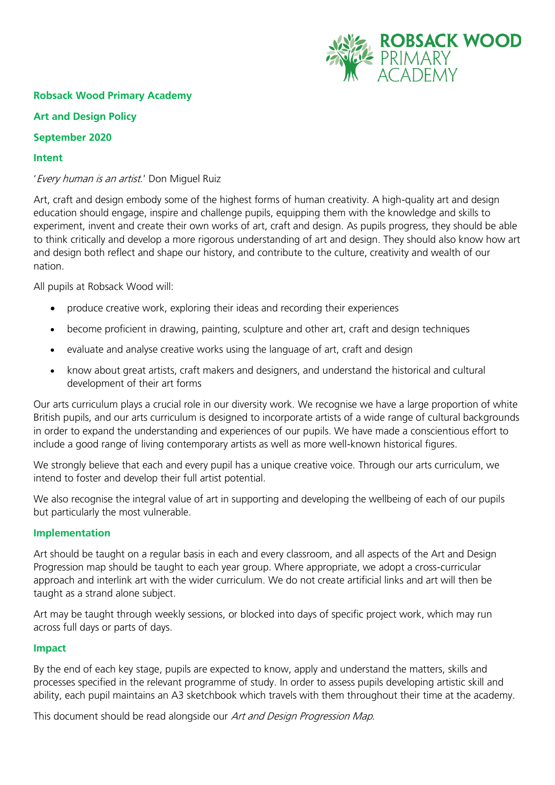

# **Robsack Wood Primary Academy**

# **Art and Design Policy**

# **September 2020**

#### **Intent**

# 'Every human is an artist.' Don Miguel Ruiz

Art, craft and design embody some of the highest forms of human creativity. A high-quality art and design education should engage, inspire and challenge pupils, equipping them with the knowledge and skills to experiment, invent and create their own works of art, craft and design. As pupils progress, they should be able to think critically and develop a more rigorous understanding of art and design. They should also know how art and design both reflect and shape our history, and contribute to the culture, creativity and wealth of our nation.

All pupils at Robsack Wood will:

- produce creative work, exploring their ideas and recording their experiences
- become proficient in drawing, painting, sculpture and other art, craft and design techniques
- evaluate and analyse creative works using the language of art, craft and design
- know about great artists, craft makers and designers, and understand the historical and cultural development of their art forms

Our arts curriculum plays a crucial role in our diversity work. We recognise we have a large proportion of white British pupils, and our arts curriculum is designed to incorporate artists of a wide range of cultural backgrounds in order to expand the understanding and experiences of our pupils. We have made a conscientious effort to include a good range of living contemporary artists as well as more well-known historical figures.

We strongly believe that each and every pupil has a unique creative voice. Through our arts curriculum, we intend to foster and develop their full artist potential.

We also recognise the integral value of art in supporting and developing the wellbeing of each of our pupils but particularly the most vulnerable.

# **Implementation**

Art should be taught on a regular basis in each and every classroom, and all aspects of the Art and Design Progression map should be taught to each year group. Where appropriate, we adopt a cross-curricular approach and interlink art with the wider curriculum. We do not create artificial links and art will then be taught as a strand alone subject.

Art may be taught through weekly sessions, or blocked into days of specific project work, which may run across full days or parts of days.

#### **Impact**

By the end of each key stage, pupils are expected to know, apply and understand the matters, skills and processes specified in the relevant programme of study. In order to assess pupils developing artistic skill and ability, each pupil maintains an A3 sketchbook which travels with them throughout their time at the academy.

This document should be read alongside our Art and Design Progression Map.